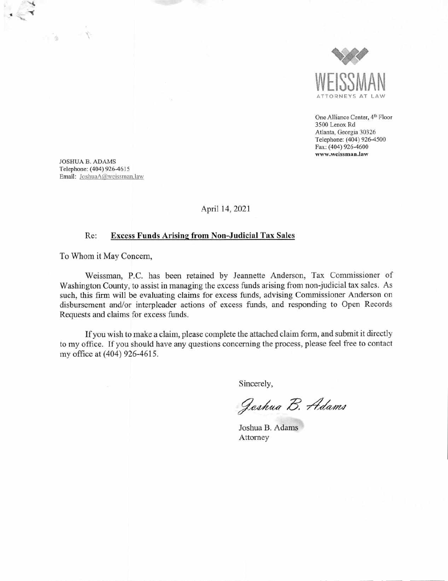

One Alliance Center, 4<sup>th</sup> Floor 3500 Lenox Rd Atlanta, Georgia 30326 Telephone: (404) 926-4500 Fax: (404) 926-4600 **www.weissman.law** 

JOSHUA B. ADAMS Telephone: (404) 926-4615 Email: JoshuaA@wcissrnan.law

Ň

ä.

April 14, 2021

## Re: Excess Funds Arising from Non-Judicial Tax Sales

To Whom it May Concern,

Weissman, P.C. has been retained by Jeannette Anderson, Tax Commissioner of Washington County, to assist in managing the excess funds arising from non-judicial tax sales. As such, this firm will be evaluating claims for excess funds, advising Commissioner Anderson on disbursement and/or interpleader actions of excess funds, and responding to Open Records Requests and claims for excess funds.

If you wish to make a claim, please complete the attached claim form, and submit it directly to my office. If you should have any questions concerning the process, please feel free to contact my office at (404) *926-4615.* 

Sincerely,

Joshua B. Adams

Joshua B. Adams Attorney